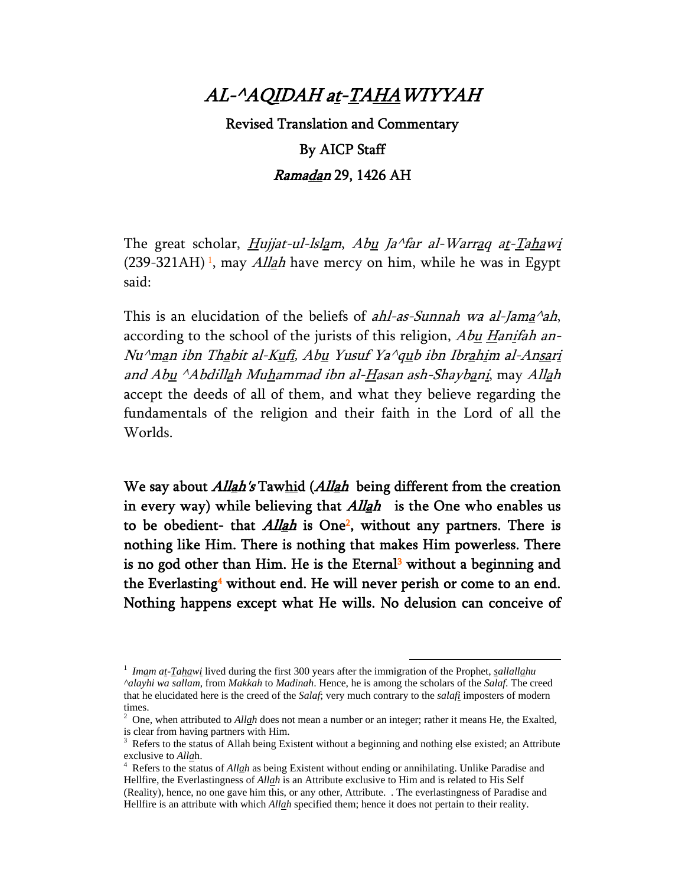#### AL-^AQIDAH at-TAHAWIYYAH

# Revised Translation and Commentary By AICP Staff Ramadan 29, 1426 AH

The great scholar, *Hujjat-ul-lslam, Abu Ja^far al-Warrag at-Tahawi*  $(239-321AH)$ <sup>1</sup>, may *Allah* have mercy on him, while he was in Egypt said:

This is an elucidation of the beliefs of *ahl-as-Sunnah wa al-Jama* $\Delta$ ah, according to the school of the jurists of this religion, Abu Hanifah an-Nu^man ibn Thabit al-Kufi, Abu Yusuf Ya^qub ibn Ibrahim al-Ansari and Abu <sup>^</sup>Abdillah Muhammad ibn al-Hasan ash-Shaybani, may Allah accept the deeds of all of them, and what they believe regarding the fundamentals of the religion and their faith in the Lord of all the Worlds.

We say about *Allah's* Tawhid (*Allah* being different from the creation in every way) while believing that *Allah* is the One who enables us to be obedient- that  $Allah$  is One<sup>2</sup>, without any partners. There is nothing like Him. There is nothing that makes Him powerless. There is no god other than Him. He is the Eternal<sup>3</sup> without a beginning and the Everlasting<sup>4</sup> without end. He will never perish or come to an end. Nothing happens except what He wills. No delusion can conceive of

 <sup>1</sup> *Imam at-Tahawi* lived during the first 300 years after the immigration of the Prophet, *sallallahu ^alayhi wa sallam*, from *Makkah* to *Madinah*. Hence, he is among the scholars of the *Salaf*. The creed that he elucidated here is the creed of the *Salaf*; very much contrary to the *salafi* imposters of modern times.

<sup>2</sup> One, when attributed to *Allah* does not mean a number or an integer; rather it means He, the Exalted, is clear from having partners with Him.

<sup>3</sup> Refers to the status of Allah being Existent without a beginning and nothing else existed; an Attribute exclusive to *Alla*h. 4

Refers to the status of *Allah* as being Existent without ending or annihilating. Unlike Paradise and Hellfire, the Everlastingness of *Allah* is an Attribute exclusive to Him and is related to His Self (Reality), hence, no one gave him this, or any other, Attribute. . The everlastingness of Paradise and Hellfire is an attribute with which *Allah* specified them; hence it does not pertain to their reality.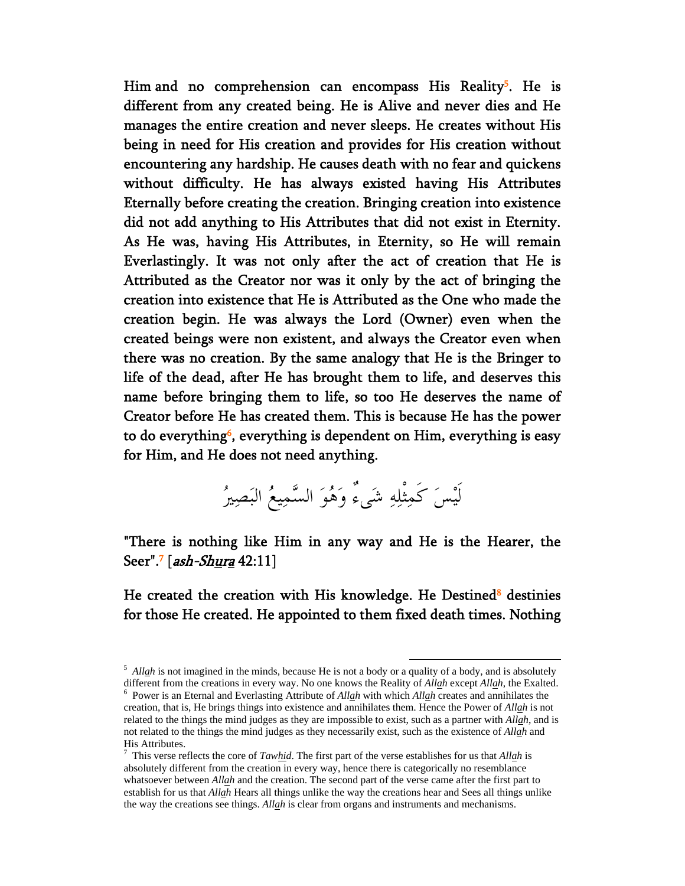Him and no comprehension can encompass His Reality<sup>5</sup>. He is different from any created being. He is Alive and never dies and He manages the entire creation and never sleeps. He creates without His being in need for His creation and provides for His creation without encountering any hardship. He causes death with no fear and quickens without difficulty. He has always existed having His Attributes Eternally before creating the creation. Bringing creation into existence did not add anything to His Attributes that did not exist in Eternity. As He was, having His Attributes, in Eternity, so He will remain Everlastingly. It was not only after the act of creation that He is Attributed as the Creator nor was it only by the act of bringing the creation into existence that He is Attributed as the One who made the creation begin. He was always the Lord (Owner) even when the created beings were non existent, and always the Creator even when there was no creation. By the same analogy that He is the Bringer to life of the dead, after He has brought them to life, and deserves this name before bringing them to life, so too He deserves the name of Creator before He has created them. This is because He has the power to do everything<sup>6</sup>, everything is dependent on Him, everything is easy for Him, and He does not need anything.

لَيْسَ كَمِثْلِهِ شَىءٌ وَهُوَ السَّمِيعُ البَصِيرُ

"There is nothing like Him in any way and He is the Hearer, the Seer".<sup>7</sup> [*ash-Shura* 42:11]

He created the creation with His knowledge. He Destined<sup>8</sup> destinies for those He created. He appointed to them fixed death times. Nothing

<sup>&</sup>lt;sup>5</sup> *Allah* is not imagined in the minds, because He is not a body or a quality of a body, and is absolutely different from the creations in every way. No one knows the Reality of *Allah* except *Allah*, the Exalted. 6

<sup>&</sup>lt;sup>6</sup> Power is an Eternal and Everlasting Attribute of *Allah* with which *Allah* creates and annihilates the creation, that is, He brings things into existence and annihilates them. Hence the Power of *Allah* is not related to the things the mind judges as they are impossible to exist, such as a partner with *Allah*, and is not related to the things the mind judges as they necessarily exist, such as the existence of *Allah* and His Attributes.

<sup>7</sup> This verse reflects the core of *Tawhid*. The first part of the verse establishes for us that *Allah* is absolutely different from the creation in every way, hence there is categorically no resemblance whatsoever between *Allah* and the creation. The second part of the verse came after the first part to establish for us that *Allah* Hears all things unlike the way the creations hear and Sees all things unlike the way the creations see things. *Allah* is clear from organs and instruments and mechanisms.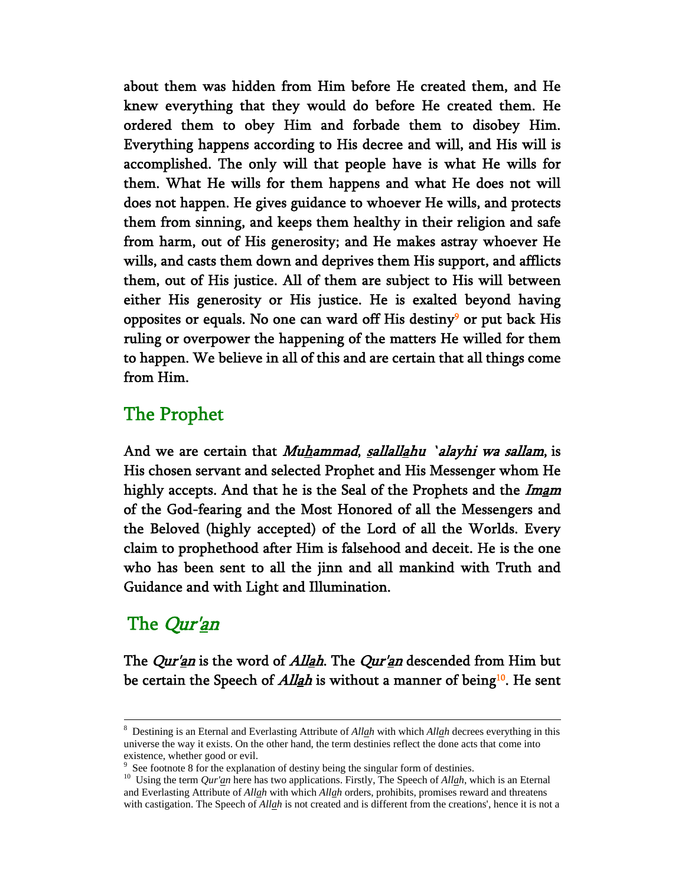about them was hidden from Him before He created them, and He knew everything that they would do before He created them. He ordered them to obey Him and forbade them to disobey Him. Everything happens according to His decree and will, and His will is accomplished. The only will that people have is what He wills for them. What He wills for them happens and what He does not will does not happen. He gives guidance to whoever He wills, and protects them from sinning, and keeps them healthy in their religion and safe from harm, out of His generosity; and He makes astray whoever He wills, and casts them down and deprives them His support, and afflicts them, out of His justice. All of them are subject to His will between either His generosity or His justice. He is exalted beyond having opposites or equals. No one can ward off His destiny<sup>9</sup> or put back His ruling or overpower the happening of the matters He willed for them to happen. We believe in all of this and are certain that all things come from Him.

### The Prophet

And we are certain that *Muhammad*, sallallahu 'alayhi wa sallam, is His chosen servant and selected Prophet and His Messenger whom He highly accepts. And that he is the Seal of the Prophets and the *Imam* of the God-fearing and the Most Honored of all the Messengers and the Beloved (highly accepted) of the Lord of all the Worlds. Every claim to prophethood after Him is falsehood and deceit. He is the one who has been sent to all the jinn and all mankind with Truth and Guidance and with Light and Illumination.

## The *Qur'an*

The *Qur'an* is the word of *Allah*. The *Qur'an* descended from Him but be certain the Speech of *Allah* is without a manner of being<sup>10</sup>. He sent

 <sup>8</sup> Destining is an Eternal and Everlasting Attribute of *Allah* with which *Allah* decrees everything in this universe the way it exists. On the other hand, the term destinies reflect the done acts that come into existence, whether good or evil.

<sup>9</sup> See footnote 8 for the explanation of destiny being the singular form of destinies.

<sup>&</sup>lt;sup>10</sup> Using the term *Qur'an* here has two applications. Firstly, The Speech of *Allah*, which is an Eternal and Everlasting Attribute of *Allah* with which *Allah* orders, prohibits, promises reward and threatens with castigation. The Speech of *Allah* is not created and is different from the creations', hence it is not a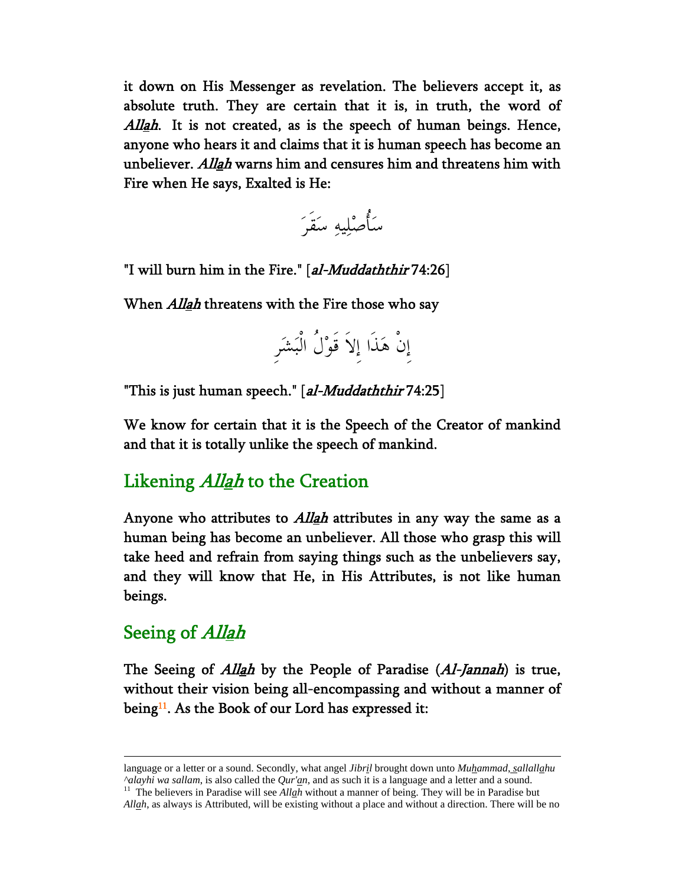it down on His Messenger as revelation. The believers accept it, as absolute truth. They are certain that it is, in truth, the word of Allah. It is not created, as is the speech of human beings. Hence, anyone who hears it and claims that it is human speech has become an unbeliever. *Allah* warns him and censures him and threatens him with Fire when He says, Exalted is He:



"I will burn him in the Fire." [al-Muddaththir 74:26]

When *Allah* threatens with the Fire those who say

إِنْ هَذَا إِلاَ قَوْلُ الْبَشَرِ

"This is just human speech." [al-Muddaththir 74:25]

We know for certain that it is the Speech of the Creator of mankind and that it is totally unlike the speech of mankind.

### Likening *Allah* to the Creation

Anyone who attributes to *Allah* attributes in any way the same as a human being has become an unbeliever. All those who grasp this will take heed and refrain from saying things such as the unbelievers say, and they will know that He, in His Attributes, is not like human beings.

#### Seeing of *Allah*

The Seeing of *Allah* by the People of Paradise (*Al-Jannah*) is true, without their vision being all-encompassing and without a manner of being<sup>11</sup>. As the Book of our Lord has expressed it:

language or a letter or a sound. Secondly, what angel *Jibril* brought down unto *Muhammad*, *sallallahu ^alayhi wa sallam*, is also called the *Qur'an*, and as such it is a language and a letter and a sound. 11 The believers in Paradise will see *Allah* without a manner of being. They will be in Paradise but

*Allah*, as always is Attributed, will be existing without a place and without a direction. There will be no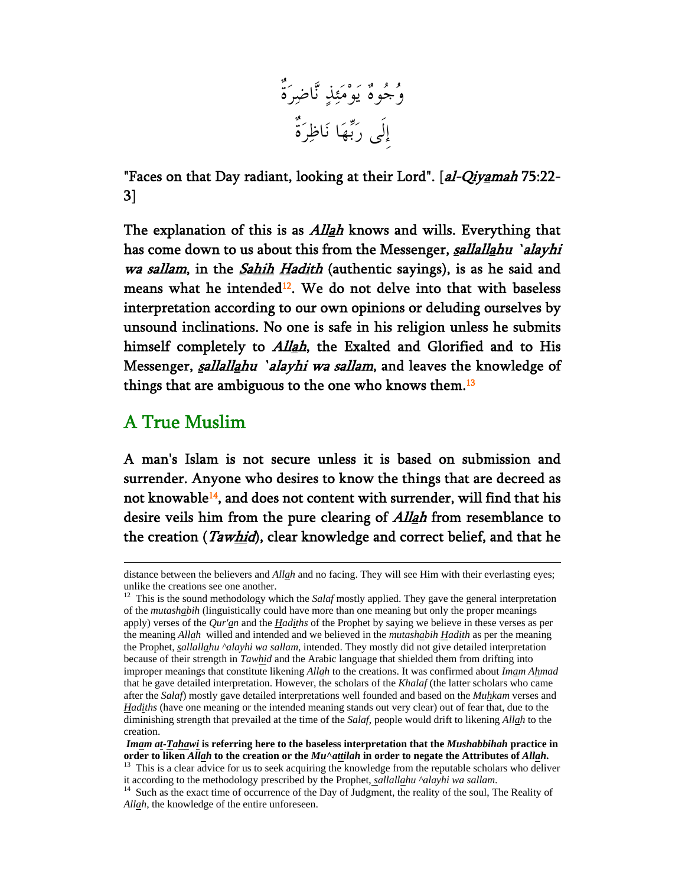

"Faces on that Day radiant, looking at their Lord". [al-Qiyamah 75:22-3]

The explanation of this is as *Allah* knows and wills. Everything that has come down to us about this from the Messenger, sallallahu 'alayhi wa sallam, in the Sahih Hadith (authentic sayings), is as he said and means what he intended<sup>12</sup>. We do not delve into that with baseless interpretation according to our own opinions or deluding ourselves by unsound inclinations. No one is safe in his religion unless he submits himself completely to *Allah*, the Exalted and Glorified and to His Messenger, sallallahu 'alayhi wa sallam, and leaves the knowledge of things that are ambiguous to the one who knows them.<sup>13</sup>

### A True Muslim

A man's Islam is not secure unless it is based on submission and surrender. Anyone who desires to know the things that are decreed as not knowable<sup>14</sup>, and does not content with surrender, will find that his desire veils him from the pure clearing of *Allah* from resemblance to the creation (*Tawhid*), clear knowledge and correct belief, and that he

distance between the believers and *Allah* and no facing. They will see Him with their everlasting eyes; unlike the creations see one another.

<sup>&</sup>lt;sup>12</sup> This is the sound methodology which the *Salaf* mostly applied. They gave the general interpretation of the *mutashabih* (linguistically could have more than one meaning but only the proper meanings apply) verses of the *Qur'an* and the *Hadiths* of the Prophet by saying we believe in these verses as per the meaning *Allah* willed and intended and we believed in the *mutashabih Hadith* as per the meaning the Prophet, *sallallahu ^alayhi wa sallam*, intended. They mostly did not give detailed interpretation because of their strength in *Tawhid* and the Arabic language that shielded them from drifting into improper meanings that constitute likening *Allah* to the creations. It was confirmed about *Imam Ahmad* that he gave detailed interpretation. However, the scholars of the *Khalaf* (the latter scholars who came after the *Salaf*) mostly gave detailed interpretations well founded and based on the *Muhkam* verses and *Hadiths* (have one meaning or the intended meaning stands out very clear) out of fear that, due to the diminishing strength that prevailed at the time of the *Salaf*, people would drift to likening *Allah* to the creation.

*Imam at-Tahawi* **is referring here to the baseless interpretation that the** *Mushabbihah* **practice in**  order to liken *Allah* to the creation or the *Mu* $\land$ *attilah* in order to negate the Attributes of *Allah*.<br><sup>13</sup> This is a clear advice for us to seek acquiring the knowledge from the reputable scholars who deliver

it according to the methodology prescribed by the Prophet, *sallallahu ^alayhi wa sallam*. <sup>14</sup> Such as the exact time of occurrence of the Day of Judgment, the reality of the soul, The Reality of

*Allah*, the knowledge of the entire unforeseen.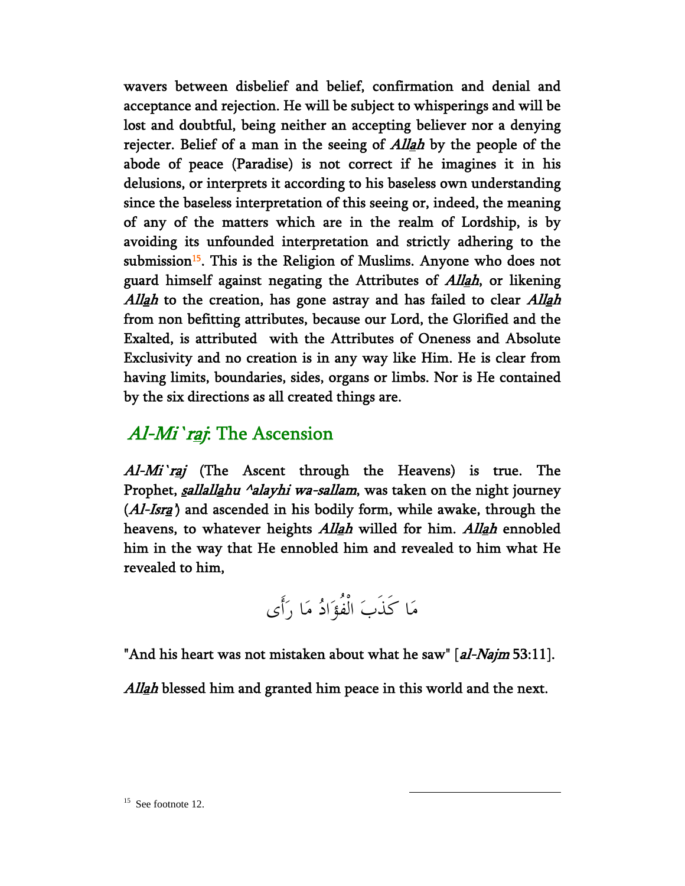wavers between disbelief and belief, confirmation and denial and acceptance and rejection. He will be subject to whisperings and will be lost and doubtful, being neither an accepting believer nor a denying rejecter. Belief of a man in the seeing of *Allah* by the people of the abode of peace (Paradise) is not correct if he imagines it in his delusions, or interprets it according to his baseless own understanding since the baseless interpretation of this seeing or, indeed, the meaning of any of the matters which are in the realm of Lordship, is by avoiding its unfounded interpretation and strictly adhering to the submission<sup>15</sup>. This is the Religion of Muslims. Anyone who does not guard himself against negating the Attributes of *Allah*, or likening Allah to the creation, has gone astray and has failed to clear Allah from non befitting attributes, because our Lord, the Glorified and the Exalted, is attributed with the Attributes of Oneness and Absolute Exclusivity and no creation is in any way like Him. He is clear from having limits, boundaries, sides, organs or limbs. Nor is He contained by the six directions as all created things are.

### Al-Mi'raj: The Ascension

Al-Mi'raj (The Ascent through the Heavens) is true. The Prophet, *sallallahu ^alayhi wa-sallam*, was taken on the night journey  $(Al-Isra)$  and ascended in his bodily form, while awake, through the heavens, to whatever heights *Allah* willed for him. *Allah* ennobled him in the way that He ennobled him and revealed to him what He revealed to him,

مَا كَذَبَ الْفُؤَادُ مَا رَأَى

"And his heart was not mistaken about what he saw" [al-Najm 53:11].

Allah blessed him and granted him peace in this world and the next.

 $15$  See footnote 12.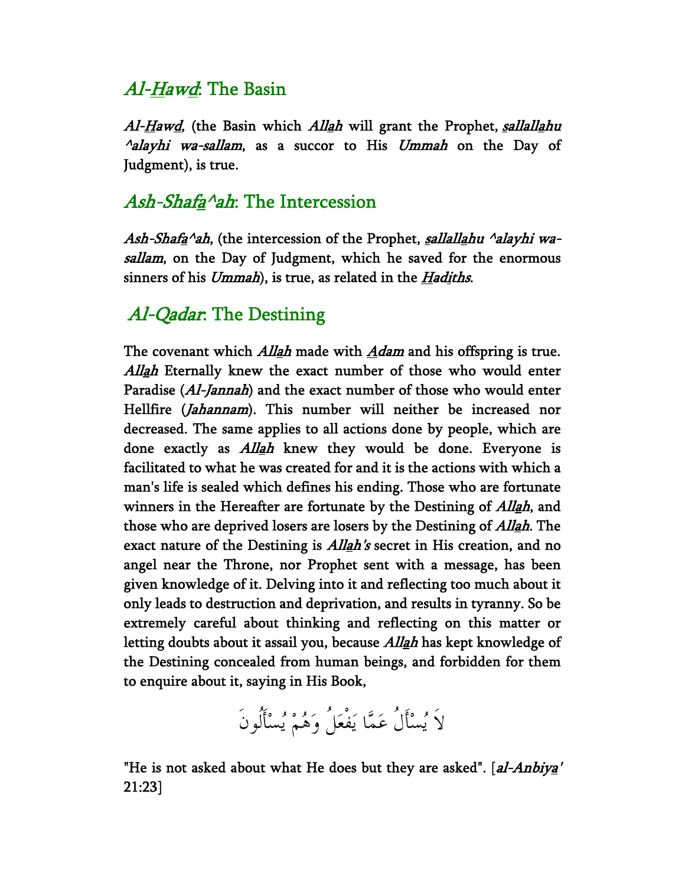## Al-Hawd: The Basin

Al-Hawd, (the Basin which Allah will grant the Prophet, sallallahu  $\triangle$ alayhi wa-sallam, as a succor to His Ummah on the Day of Judgment), is true.

## Ash-Shafa^ah: The Intercession

Ash-Shafa<sup>^</sup>ah, (the intercession of the Prophet, sallallahu <sup>^</sup>alayhi wasallam, on the Day of Judgment, which he saved for the enormous sinners of his  $Ummah$ , is true, as related in the  $Hadiths$ .

## Al-Qadar: The Destining

The covenant which *Allah* made with  $Adam$  and his offspring is true. Allah Eternally knew the exact number of those who would enter Paradise (Al-Jannah) and the exact number of those who would enter Hellfire (*Jahannam*). This number will neither be increased nor decreased. The same applies to all actions done by people, which are done exactly as *Allah* knew they would be done. Everyone is facilitated to what he was created for and it is the actions with which a man's life is sealed which defines his ending. Those who are fortunate winners in the Hereafter are fortunate by the Destining of *Allah*, and those who are deprived losers are losers by the Destining of *Allah*. The exact nature of the Destining is *Allah's* secret in His creation, and no angel near the Throne, nor Prophet sent with a message, has been given knowledge of it. Delving into it and reflecting too much about it only leads to destruction and deprivation, and results in tyranny. So be extremely careful about thinking and reflecting on this matter or letting doubts about it assail you, because *Allah* has kept knowledge of the Destining concealed from human beings, and forbidden for them to enquire about it, saying in His Book,

لاَ يُسْأَلُ عَمَّا يَفْعَلُ وَهُمْ يُسْأَلُونَ

"He is not asked about what He does but they are asked". [*al-Anbiy<u>a</u>'* 21:23]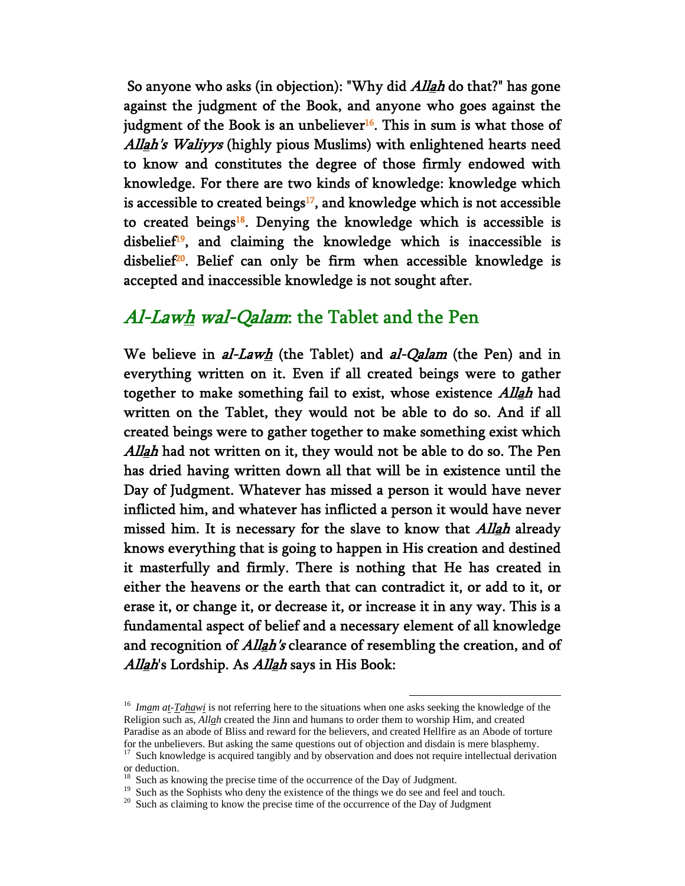So anyone who asks (in objection): "Why did *Allah* do that?" has gone against the judgment of the Book, and anyone who goes against the judgment of the Book is an unbeliever<sup>16</sup>. This in sum is what those of Allah's Waliyys (highly pious Muslims) with enlightened hearts need to know and constitutes the degree of those firmly endowed with knowledge. For there are two kinds of knowledge: knowledge which is accessible to created beings $17$ , and knowledge which is not accessible to created beings<sup>18</sup>. Denying the knowledge which is accessible is disbelief<sup>19</sup>, and claiming the knowledge which is inaccessible is disbelief<sup>20</sup>. Belief can only be firm when accessible knowledge is accepted and inaccessible knowledge is not sought after.

### Al-Lawh wal-Qalam: the Tablet and the Pen

We believe in  $al-Lawh$  (the Tablet) and  $al-Qalam$  (the Pen) and in everything written on it. Even if all created beings were to gather together to make something fail to exist, whose existence Allah had written on the Tablet, they would not be able to do so. And if all created beings were to gather together to make something exist which Allah had not written on it, they would not be able to do so. The Pen has dried having written down all that will be in existence until the Day of Judgment. Whatever has missed a person it would have never inflicted him, and whatever has inflicted a person it would have never missed him. It is necessary for the slave to know that *Allah* already knows everything that is going to happen in His creation and destined it masterfully and firmly. There is nothing that He has created in either the heavens or the earth that can contradict it, or add to it, or erase it, or change it, or decrease it, or increase it in any way. This is a fundamental aspect of belief and a necessary element of all knowledge and recognition of *Allah's* clearance of resembling the creation, and of Allah's Lordship. As Allah says in His Book:

<sup>&</sup>lt;sup>16</sup> Imam at-Tahawi is not referring here to the situations when one asks seeking the knowledge of the Religion such as, *Allah* created the Jinn and humans to order them to worship Him, and created Paradise as an abode of Bliss and reward for the believers, and created Hellfire as an Abode of torture for the unbelievers. But asking the same questions out of objection and disdain is mere blasphemy.

<sup>&</sup>lt;sup>17</sup> Such knowledge is acquired tangibly and by observation and does not require intellectual derivation or deduction.

Such as knowing the precise time of the occurrence of the Day of Judgment.

<sup>&</sup>lt;sup>19</sup> Such as the Sophists who deny the existence of the things we do see and feel and touch.

<sup>&</sup>lt;sup>20</sup> Such as claiming to know the precise time of the occurrence of the Day of Judgment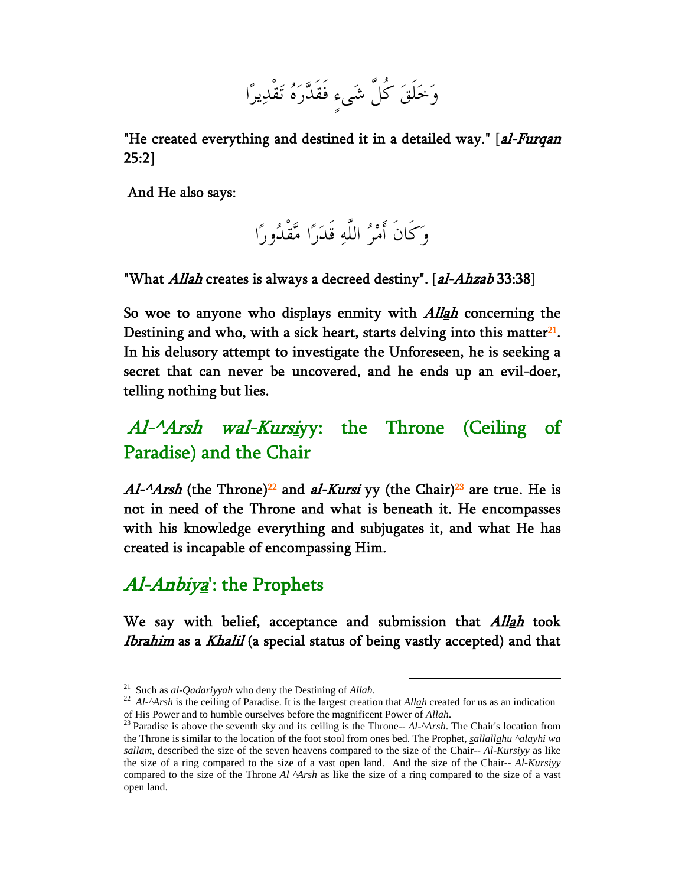وَخَلَقَ كُلَّ شَىءٍ فَقَدَّرَهُ تَقْدِيرًا

"He created everything and destined it in a detailed way." [al-Furqan 25:2]

And He also says:

وَكَانَ أَمْرُ اللَّهِ قَدَرًا مَّقْدُورًا

"What *Allah* creates is always a decreed destiny". [al-Ahzab 33:38]

So woe to anyone who displays enmity with *Allah* concerning the Destining and who, with a sick heart, starts delving into this matter $21$ . In his delusory attempt to investigate the Unforeseen, he is seeking a secret that can never be uncovered, and he ends up an evil-doer, telling nothing but lies.

# Al-<sup>^</sup>Arsh wal-Kursiyy: the Throne (Ceiling of Paradise) and the Chair

 $A1$ - $A$ rsh (the Throne)<sup>22</sup> and al-Kursi yy (the Chair)<sup>23</sup> are true. He is not in need of the Throne and what is beneath it. He encompasses with his knowledge everything and subjugates it, and what He has created is incapable of encompassing Him.

# Al-Anbiya<sup>'</sup>: the Prophets

We say with belief, acceptance and submission that *Allah* took Ibrahim as a Khalil (a special status of being vastly accepted) and that

<sup>&</sup>lt;sup>21</sup> Such as *al-Qadariyyah* who deny the Destining of *Allah*.<br><sup>22</sup> *Al-^Arsh* is the ceiling of Paradise. It is the largest creation that *Allah* created for us as an indication of His Power and to humble ourselves befo

<sup>&</sup>lt;sup>23</sup> Paradise is above the seventh sky and its ceiling is the Throne-- *Al-^Arsh*. The Chair's location from the Throne is similar to the location of the foot stool from ones bed. The Prophet, *sallallahu ^alayhi wa sallam*, described the size of the seven heavens compared to the size of the Chair*-- Al-Kursiyy* as like the size of a ring compared to the size of a vast open land. And the size of the Chair*-- Al-Kursiyy* compared to the size of the Throne *Al ^Arsh* as like the size of a ring compared to the size of a vast open land.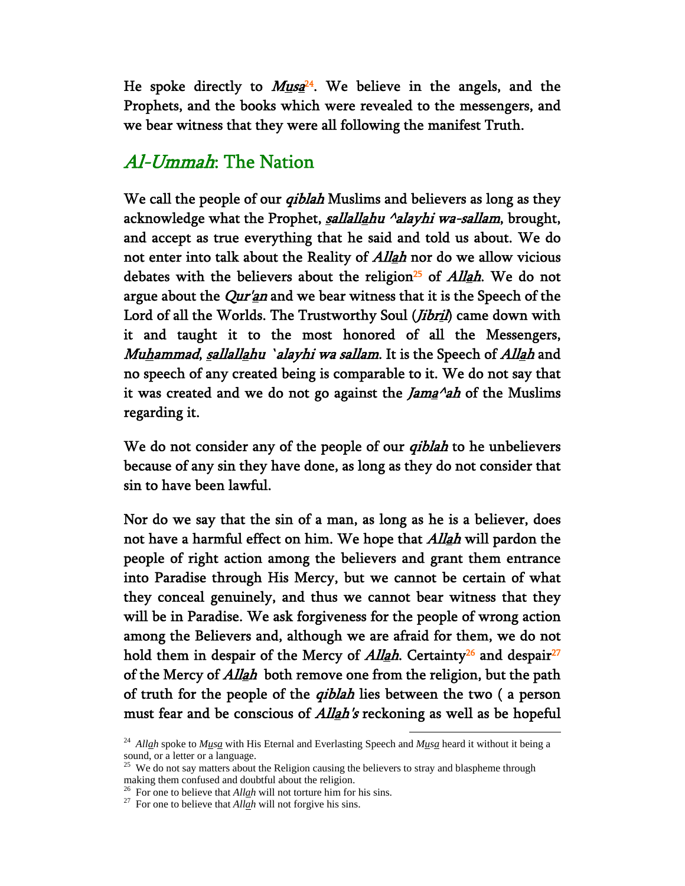He spoke directly to  $M_{1/2}$ <sup>24</sup>. We believe in the angels, and the Prophets, and the books which were revealed to the messengers, and we bear witness that they were all following the manifest Truth.

### Al-Ummah: The Nation

We call the people of our *qiblah* Muslims and believers as long as they acknowledge what the Prophet, *sallallahu ^alayhi wa-sallam*, brought, and accept as true everything that he said and told us about. We do not enter into talk about the Reality of *Allah* nor do we allow vicious debates with the believers about the religion<sup>25</sup> of *Allah*. We do not argue about the  $Qur'$ *an* and we bear witness that it is the Speech of the Lord of all the Worlds. The Trustworthy Soul (*Jibril*) came down with it and taught it to the most honored of all the Messengers, Muhammad, sallallahu `alayhi wa sallam. It is the Speech of Allah and no speech of any created being is comparable to it. We do not say that it was created and we do not go against the *Jama* $\alpha$ *ah* of the Muslims regarding it.

We do not consider any of the people of our *qiblah* to he unbelievers because of any sin they have done, as long as they do not consider that sin to have been lawful.

Nor do we say that the sin of a man, as long as he is a believer, does not have a harmful effect on him. We hope that *Allah* will pardon the people of right action among the believers and grant them entrance into Paradise through His Mercy, but we cannot be certain of what they conceal genuinely, and thus we cannot bear witness that they will be in Paradise. We ask forgiveness for the people of wrong action among the Believers and, although we are afraid for them, we do not hold them in despair of the Mercy of *Allah*. Certainty<sup>26</sup> and despair<sup>27</sup> of the Mercy of *Allah* both remove one from the religion, but the path of truth for the people of the *qiblah* lies between the two (a person must fear and be conscious of *Allah's* reckoning as well as be hopeful

 <sup>24</sup> *Allah* spoke to *Musa* with His Eternal and Everlasting Speech and *Musa* heard it without it being a sound, or a letter or a language.

<sup>&</sup>lt;sup>25</sup> We do not say matters about the Religion causing the believers to stray and blaspheme through making them confused and doubtful about the religion.

<sup>&</sup>lt;sup>26</sup> For one to believe that *Allah* will not torture him for his sins. <sup>27</sup> For one to believe that *Allah* will not forgive his sins.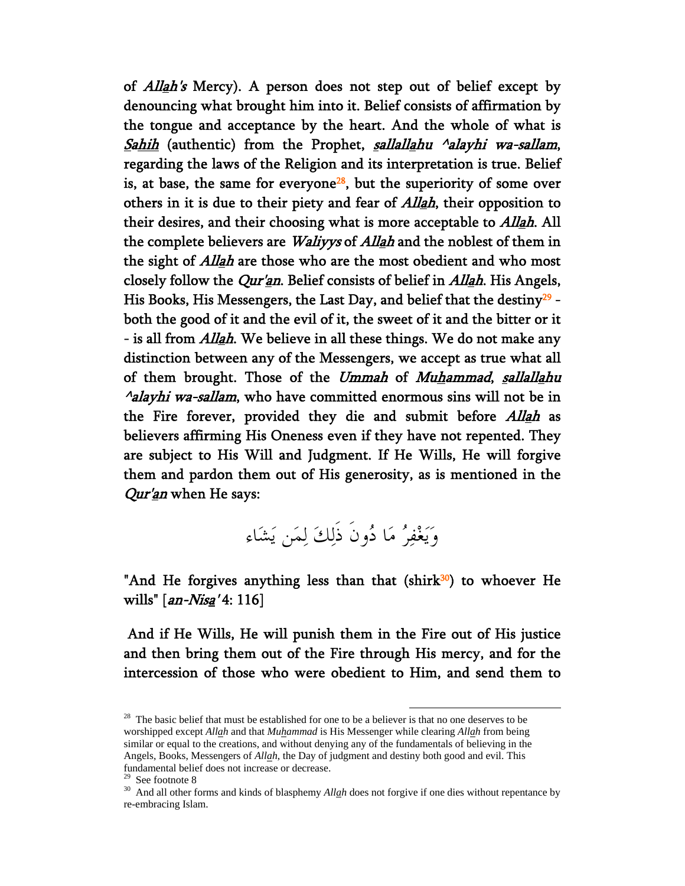of *Allah's* Mercy). A person does not step out of belief except by denouncing what brought him into it. Belief consists of affirmation by the tongue and acceptance by the heart. And the whole of what is Sahih (authentic) from the Prophet, sallallahu <sup>A</sup>alayhi wa-sallam, regarding the laws of the Religion and its interpretation is true. Belief is, at base, the same for everyone<sup>28</sup>, but the superiority of some over others in it is due to their piety and fear of *Allah*, their opposition to their desires, and their choosing what is more acceptable to *Allah*. All the complete believers are *Waliyys* of *Allah* and the noblest of them in the sight of *Allah* are those who are the most obedient and who most closely follow the *Qur'an*. Belief consists of belief in *Allah*. His Angels, His Books, His Messengers, the Last Day, and belief that the destiny<sup>29</sup> both the good of it and the evil of it, the sweet of it and the bitter or it - is all from *Allah*. We believe in all these things. We do not make any distinction between any of the Messengers, we accept as true what all of them brought. Those of the Ummah of Muhammad, sallallahu  $\alpha$ alayhi wa-sallam, who have committed enormous sins will not be in the Fire forever, provided they die and submit before *Allah* as believers affirming His Oneness even if they have not repented. They are subject to His Will and Judgment. If He Wills, He will forgive them and pardon them out of His generosity, as is mentioned in the Qur'an when He says:

وَيَغْفِرُ مَا دُونَ ذَلِكَ لِمَن يَشَاء

"And He forgives anything less than that  $(shirk<sup>30</sup>)$  to whoever He wills"  $(an-Nisq'4:116]$ 

 And if He Wills, He will punish them in the Fire out of His justice and then bring them out of the Fire through His mercy, and for the intercession of those who were obedient to Him, and send them to

 $28$  The basic belief that must be established for one to be a believer is that no one deserves to be worshipped except *Allah* and that *Muhammad* is His Messenger while clearing *Allah* from being similar or equal to the creations, and without denying any of the fundamentals of believing in the Angels, Books, Messengers of *Allah*, the Day of judgment and destiny both good and evil. This fundamental belief does not increase or decrease.

See footnote 8

<sup>&</sup>lt;sup>30</sup> And all other forms and kinds of blasphemy *Allah* does not forgive if one dies without repentance by re-embracing Islam.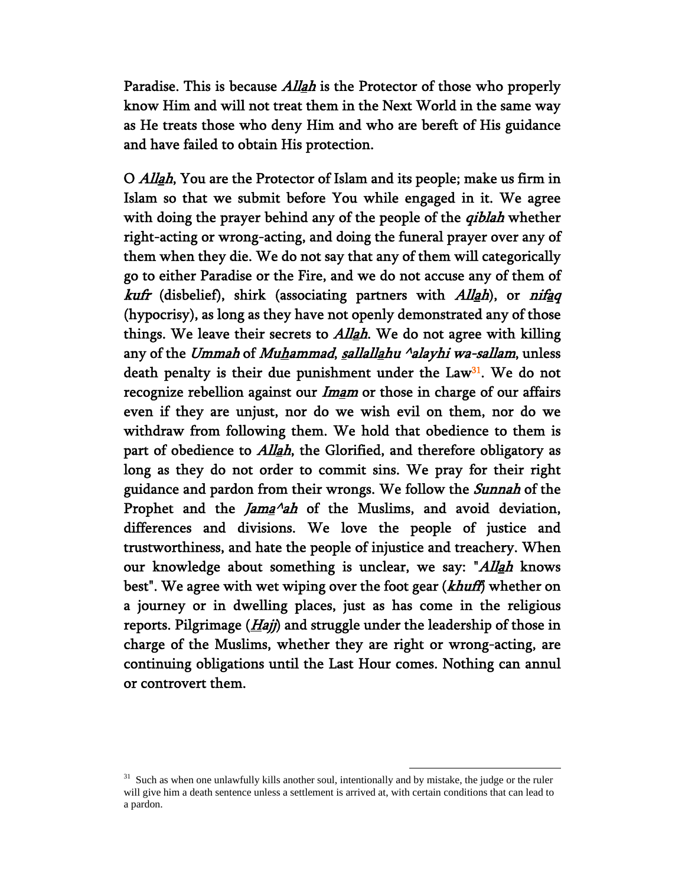Paradise. This is because *Allah* is the Protector of those who properly know Him and will not treat them in the Next World in the same way as He treats those who deny Him and who are bereft of His guidance and have failed to obtain His protection.

O Allah, You are the Protector of Islam and its people; make us firm in Islam so that we submit before You while engaged in it. We agree with doing the prayer behind any of the people of the *qiblah* whether right-acting or wrong-acting, and doing the funeral prayer over any of them when they die. We do not say that any of them will categorically go to either Paradise or the Fire, and we do not accuse any of them of kufr (disbelief), shirk (associating partners with Allah), or nifaq (hypocrisy), as long as they have not openly demonstrated any of those things. We leave their secrets to *Allah*. We do not agree with killing any of the Ummah of Muhammad, sallallahu <sup>^</sup>alayhi wa-sallam, unless death penalty is their due punishment under the Law<sup>31</sup>. We do not recognize rebellion against our *Imam* or those in charge of our affairs even if they are unjust, nor do we wish evil on them, nor do we withdraw from following them. We hold that obedience to them is part of obedience to *Allah*, the Glorified, and therefore obligatory as long as they do not order to commit sins. We pray for their right guidance and pardon from their wrongs. We follow the Sunnah of the Prophet and the  $\text{Jama}^{\wedge}$ ah of the Muslims, and avoid deviation, differences and divisions. We love the people of justice and trustworthiness, and hate the people of injustice and treachery. When our knowledge about something is unclear, we say: "Allah knows best". We agree with wet wiping over the foot gear (khuff) whether on a journey or in dwelling places, just as has come in the religious reports. Pilgrimage  $(Haj)$  and struggle under the leadership of those in charge of the Muslims, whether they are right or wrong-acting, are continuing obligations until the Last Hour comes. Nothing can annul or controvert them.

<sup>&</sup>lt;sup>31</sup> Such as when one unlawfully kills another soul, intentionally and by mistake, the judge or the ruler will give him a death sentence unless a settlement is arrived at, with certain conditions that can lead to a pardon.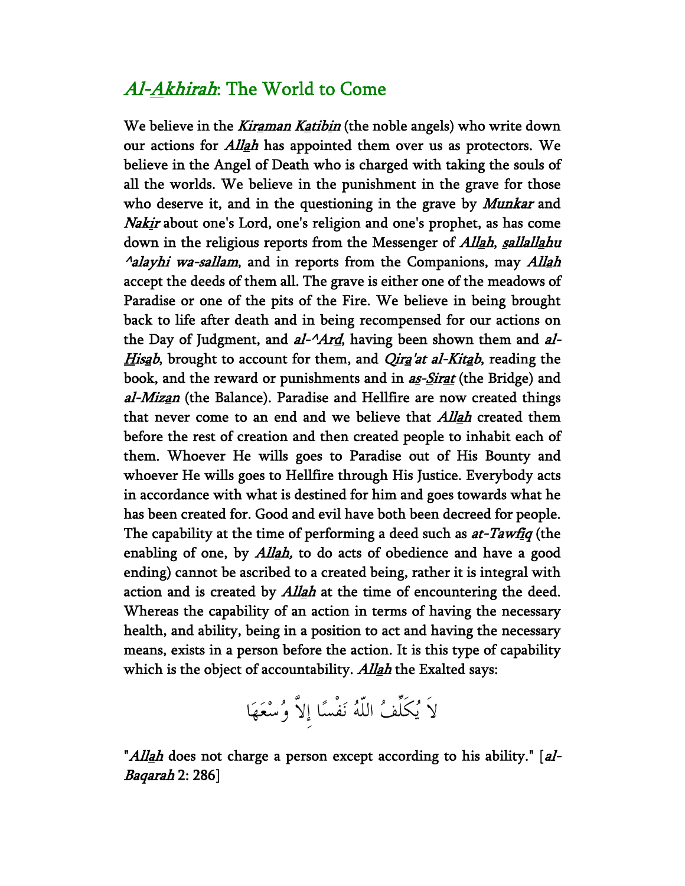### Al-Akhirah: The World to Come

We believe in the *Kiraman Katibin* (the noble angels) who write down our actions for *Allah* has appointed them over us as protectors. We believe in the Angel of Death who is charged with taking the souls of all the worlds. We believe in the punishment in the grave for those who deserve it, and in the questioning in the grave by *Munkar* and Nakir about one's Lord, one's religion and one's prophet, as has come down in the religious reports from the Messenger of *Allah*, *sallallahu*  $\Lambda$ alayhi wa-sallam, and in reports from the Companions, may Allah accept the deeds of them all. The grave is either one of the meadows of Paradise or one of the pits of the Fire. We believe in being brought back to life after death and in being recompensed for our actions on the Day of Judgment, and  $aI^{-1}Ard$ , having been shown them and  $aI^{-1}$ Hisab, brought to account for them, and *Qira'at al-Kitab*, reading the book, and the reward or punishments and in as-Sirat (the Bridge) and al-Mizan (the Balance). Paradise and Hellfire are now created things that never come to an end and we believe that *Allah* created them before the rest of creation and then created people to inhabit each of them. Whoever He wills goes to Paradise out of His Bounty and whoever He wills goes to Hellfire through His Justice. Everybody acts in accordance with what is destined for him and goes towards what he has been created for. Good and evil have both been decreed for people. The capability at the time of performing a deed such as *at-Tawfiq* (the enabling of one, by  $Allah$ , to do acts of obedience and have a good ending) cannot be ascribed to a created being, rather it is integral with action and is created by *Allah* at the time of encountering the deed. Whereas the capability of an action in terms of having the necessary health, and ability, being in a position to act and having the necessary means, exists in a person before the action. It is this type of capability which is the object of accountability. Allah the Exalted says:

لاَ يُكَلِّفُ اللّهُ نَفْسًا إِلاَّ وُسْعَهَا

"Allah does not charge a person except according to his ability." [al-Baqarah 2: 286]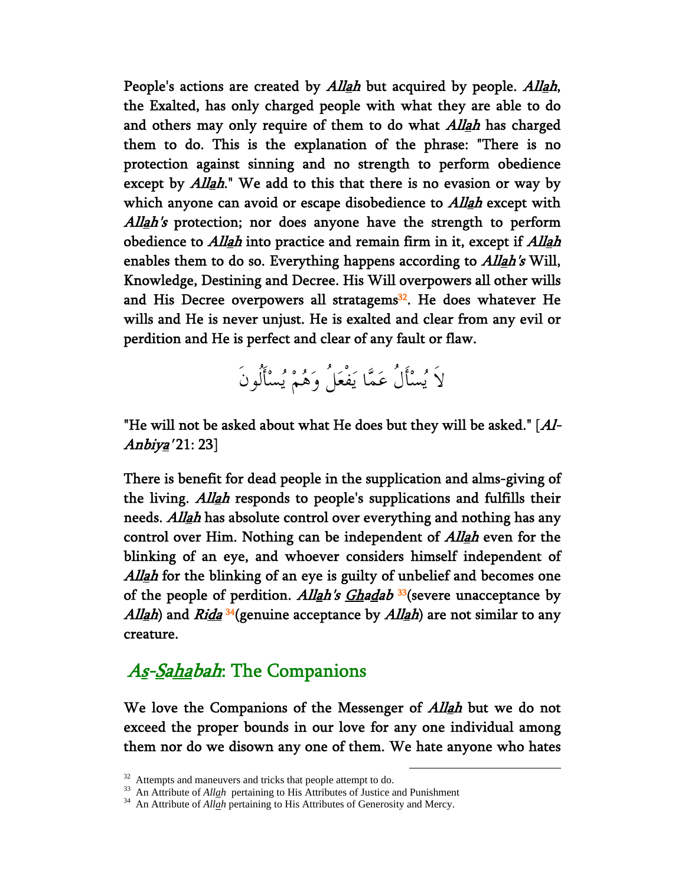People's actions are created by *Allah* but acquired by people. *Allah*, the Exalted, has only charged people with what they are able to do and others may only require of them to do what *Allah* has charged them to do. This is the explanation of the phrase: "There is no protection against sinning and no strength to perform obedience except by *Allah*." We add to this that there is no evasion or way by which anyone can avoid or escape disobedience to *Allah* except with Allah's protection; nor does anyone have the strength to perform obedience to *Allah* into practice and remain firm in it, except if *Allah* enables them to do so. Everything happens according to *Allah's* Will, Knowledge, Destining and Decree. His Will overpowers all other wills and His Decree overpowers all stratagems<sup>32</sup>. He does whatever He wills and He is never unjust. He is exalted and clear from any evil or perdition and He is perfect and clear of any fault or flaw.

لاَ يُسْأَلُ عَمَّا يَفْعَلُ وَهُمْ يُسْأَلُونَ

"He will not be asked about what He does but they will be asked." [Al-Anbiy<u>a</u>' 21: 23]

There is benefit for dead people in the supplication and alms-giving of the living. Allah responds to people's supplications and fulfills their needs. Allah has absolute control over everything and nothing has any control over Him. Nothing can be independent of *Allah* even for the blinking of an eye, and whoever considers himself independent of Allah for the blinking of an eye is guilty of unbelief and becomes one of the people of perdition. Allah's  $G$ hadab<sup>33</sup>(severe unacceptance by All<u>a</u>h) and Ri<u>da <sup>34</sup>(genuine acceptance by Alla</u>h) are not similar to any creature.

### As-Sahabah: The Companions

We love the Companions of the Messenger of *Allah* but we do not exceed the proper bounds in our love for any one individual among them nor do we disown any one of them. We hate anyone who hates

<sup>&</sup>lt;sup>32</sup> Attempts and maneuvers and tricks that people attempt to do.

<sup>&</sup>lt;sup>33</sup> An Attribute of *Allah* pertaining to His Attributes of Justice and Punishment <sup>34</sup> An Attribute of *Allah* pertaining to His Attributes of Generosity and Mercy.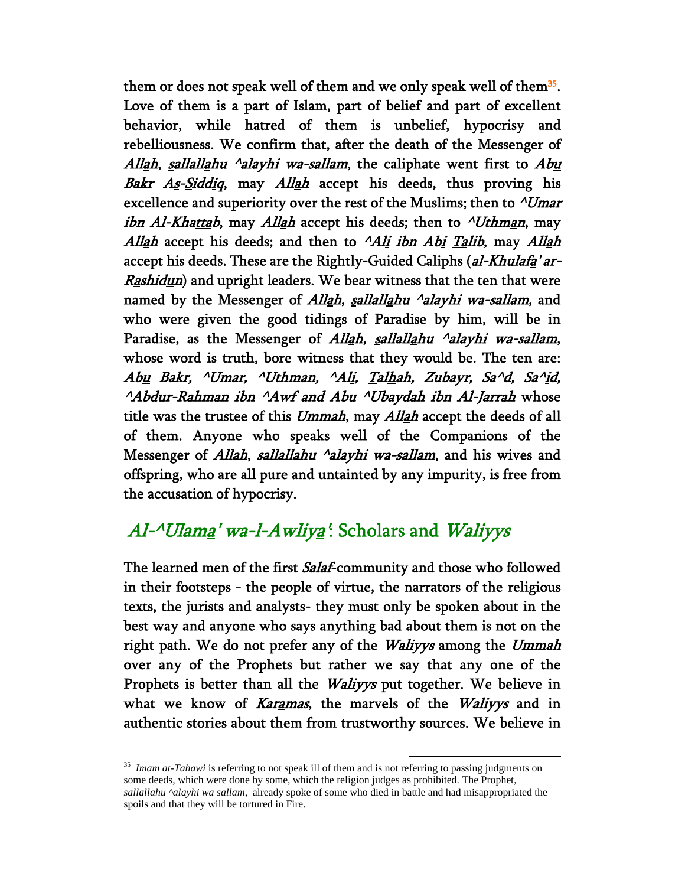them or does not speak well of them and we only speak well of them<sup>35</sup>. Love of them is a part of Islam, part of belief and part of excellent behavior, while hatred of them is unbelief, hypocrisy and rebelliousness. We confirm that, after the death of the Messenger of Allah, sallallahu  $\Delta$ alayhi wa-sallam, the caliphate went first to  $Abu$ Bakr  $As-Siddiq$ , may Allah accept his deeds, thus proving his excellence and superiority over the rest of the Muslims; then to  $\Delta U$ mar *ibn Al-Khattab*, may *Allah* accept his deeds; then to  $\Lambda$ Uthman, may Allah accept his deeds; and then to  $^A$ Ali ibn Abi Talib, may Allah accept his deeds. These are the Rightly-Guided Caliphs (al-Khulafa' ar-*Rashidun*) and upright leaders. We bear witness that the ten that were named by the Messenger of Allah, sallallahu  $\alpha$ alayhi wa-sallam, and who were given the good tidings of Paradise by him, will be in Paradise, as the Messenger of *Allah, sallallahu*  $\Delta$ *alayhi wa-sallam*, whose word is truth, bore witness that they would be. The ten are: Abu Bakr, ^Umar, ^Uthman, ^Ali, Talhah, Zubayr, Sa^d, Sa^id,  $^{\wedge}$ Abdur-Rahman ibn  $^{\wedge}$ Awf and Abu  $^{\wedge}$ Ubaydah ibn Al-Jarrah whose title was the trustee of this Ummah, may Allah accept the deeds of all of them. Anyone who speaks well of the Companions of the Messenger of *Allah, sallallahu*  $\Delta$ *alayhi wa-sallam*, and his wives and offspring, who are all pure and untainted by any impurity, is free from the accusation of hypocrisy.

## $A$ l- $\Delta$ Ulama' wa-l- $A$ wliya': Scholars and Waliyys

The learned men of the first *Salaf*-community and those who followed in their footsteps - the people of virtue, the narrators of the religious texts, the jurists and analysts- they must only be spoken about in the best way and anyone who says anything bad about them is not on the right path. We do not prefer any of the *Waliyys* among the *Ummah* over any of the Prophets but rather we say that any one of the Prophets is better than all the *Waliyys* put together. We believe in what we know of Karamas, the marvels of the Waliyys and in authentic stories about them from trustworthy sources. We believe in

<sup>&</sup>lt;sup>35</sup> *Imam at-Tahawi* is referring to not speak ill of them and is not referring to passing judgments on some deeds, which were done by some, which the religion judges as prohibited. The Prophet, *sallallahu ^alayhi wa sallam*, already spoke of some who died in battle and had misappropriated the spoils and that they will be tortured in Fire.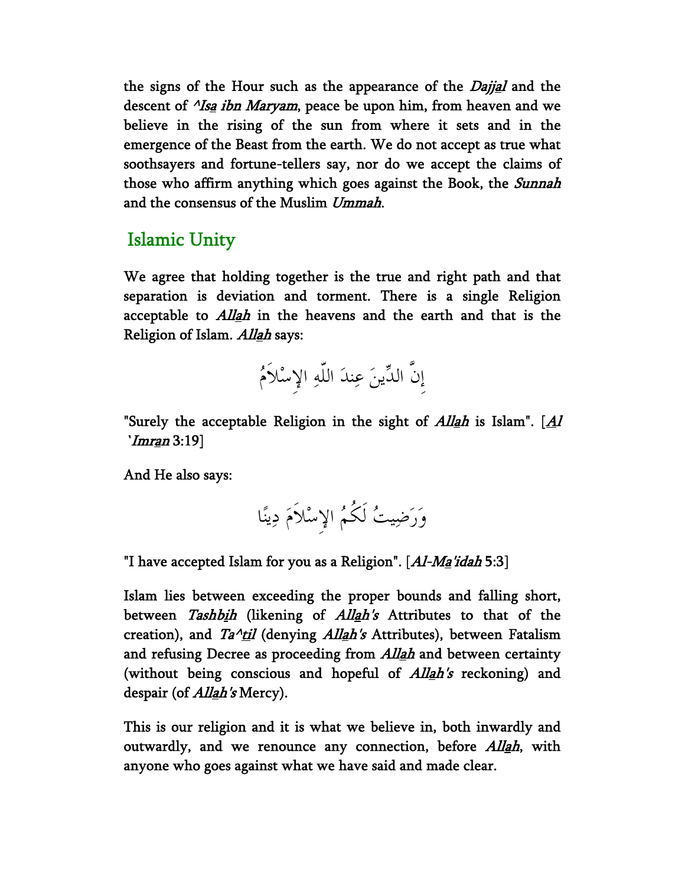the signs of the Hour such as the appearance of the *Dajjal* and the descent of *<sup>^</sup>Isa ibn Maryam*, peace be upon him, from heaven and we believe in the rising of the sun from where it sets and in the emergence of the Beast from the earth. We do not accept as true what soothsayers and fortune-tellers say, nor do we accept the claims of those who affirm anything which goes against the Book, the *Sunnah* and the consensus of the Muslim Ummah.

#### Islamic Unity

We agree that holding together is the true and right path and that separation is deviation and torment. There is a single Religion acceptable to *Allah* in the heavens and the earth and that is the Religion of Islam. Allah says:



"Surely the acceptable Religion in the sight of  $Allah$  is Islam". [ $\Delta l$ ] `*Imr<u>a</u>n* 3:19]

And He also says:

وَرَضِيتُ لَكُمُ الإِسْلاَمَ دِينًا

"I have accepted Islam for you as a Religion".  $[Al-Ma'idah 5:3]$ 

Islam lies between exceeding the proper bounds and falling short, between Tashbih (likening of Allah's Attributes to that of the creation), and  $Ta^{\lambda}$ til (denying Allah's Attributes), between Fatalism and refusing Decree as proceeding from *Allah* and between certainty (without being conscious and hopeful of  $Allah's$  reckoning) and despair (of *Allah's* Mercy).

This is our religion and it is what we believe in, both inwardly and outwardly, and we renounce any connection, before *Allah*, with anyone who goes against what we have said and made clear.